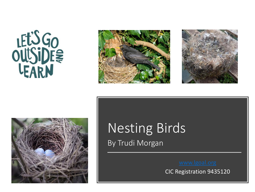







## Nesting Birds By Trudi Morgan

CIC Registration 9435120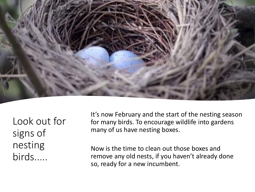

Look out for signs of nesting birds.....

It's now February and the start of the nesting season for many birds. To encourage wildlife into gardens many of us have nesting boxes.

Now is the time to clean out those boxes and remove any old nests, if you haven't already done so, ready for a new incumbent.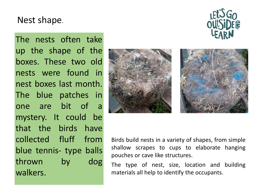## Nest shape.

The nests often take up the shape of the boxes. These two old nests were found in nest boxes last month. The blue patches in one are bit of a mystery. It could be that the birds have collected fluff from blue tennis- type balls thrown by dog walkers.







Birds build nests in a variety of shapes, from simple shallow scrapes to cups to elaborate hanging pouches or cave like structures.

The type of nest, size, location and building materials all help to identify the occupants.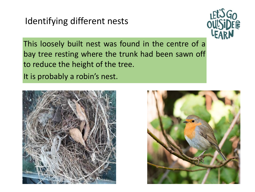## Identifying different nests



This loosely built nest was found in the centre of a bay tree resting where the trunk had been sawn off to reduce the height of the tree. It is probably a robin's nest.